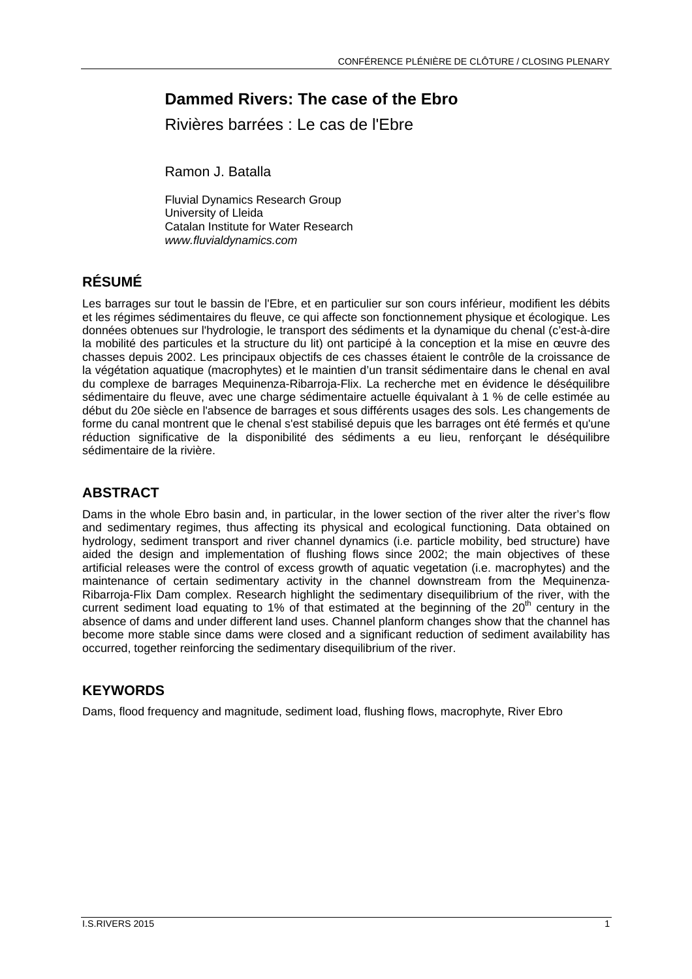# **Dammed Rivers: The case of the Ebro**

Rivières barrées : Le cas de l'Ebre

Ramon J. Batalla

Fluvial Dynamics Research Group University of Lleida Catalan Institute for Water Research *www.fluvialdynamics.com* 

# **RÉSUMÉ**

Les barrages sur tout le bassin de l'Ebre, et en particulier sur son cours inférieur, modifient les débits et les régimes sédimentaires du fleuve, ce qui affecte son fonctionnement physique et écologique. Les données obtenues sur l'hydrologie, le transport des sédiments et la dynamique du chenal (c'est-à-dire la mobilité des particules et la structure du lit) ont participé à la conception et la mise en œuvre des chasses depuis 2002. Les principaux objectifs de ces chasses étaient le contrôle de la croissance de la végétation aquatique (macrophytes) et le maintien d'un transit sédimentaire dans le chenal en aval du complexe de barrages Mequinenza-Ribarroja-Flix. La recherche met en évidence le déséquilibre sédimentaire du fleuve, avec une charge sédimentaire actuelle équivalant à 1 % de celle estimée au début du 20e siècle en l'absence de barrages et sous différents usages des sols. Les changements de forme du canal montrent que le chenal s'est stabilisé depuis que les barrages ont été fermés et qu'une réduction significative de la disponibilité des sédiments a eu lieu, renforçant le déséquilibre sédimentaire de la rivière.

## **ABSTRACT**

Dams in the whole Ebro basin and, in particular, in the lower section of the river alter the river's flow and sedimentary regimes, thus affecting its physical and ecological functioning. Data obtained on hydrology, sediment transport and river channel dynamics (i.e. particle mobility, bed structure) have aided the design and implementation of flushing flows since 2002; the main objectives of these artificial releases were the control of excess growth of aquatic vegetation (i.e. macrophytes) and the maintenance of certain sedimentary activity in the channel downstream from the Mequinenza-Ribarroja-Flix Dam complex. Research highlight the sedimentary disequilibrium of the river, with the current sediment load equating to 1% of that estimated at the beginning of the  $20<sup>th</sup>$  century in the absence of dams and under different land uses. Channel planform changes show that the channel has become more stable since dams were closed and a significant reduction of sediment availability has occurred, together reinforcing the sedimentary disequilibrium of the river.

#### **KEYWORDS**

Dams, flood frequency and magnitude, sediment load, flushing flows, macrophyte, River Ebro